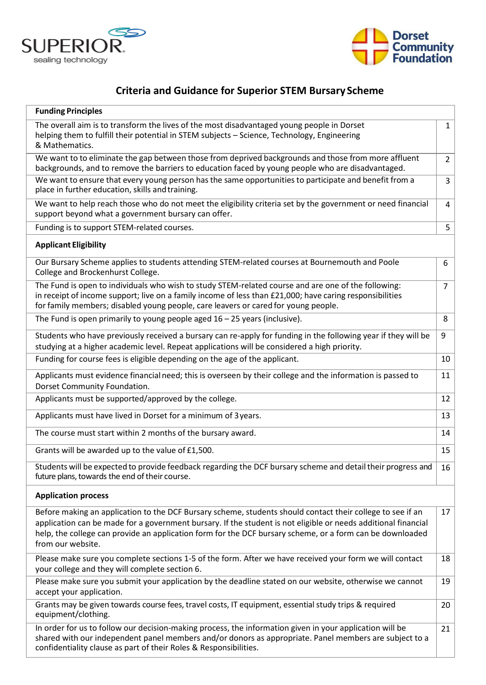



## **Criteria and Guidance for Superior STEM Bursary Scheme**

| <b>Funding Principles</b>                                                                                                                                                                                                                                                                                                                                      |                |
|----------------------------------------------------------------------------------------------------------------------------------------------------------------------------------------------------------------------------------------------------------------------------------------------------------------------------------------------------------------|----------------|
| The overall aim is to transform the lives of the most disadvantaged young people in Dorset<br>helping them to fulfill their potential in STEM subjects - Science, Technology, Engineering<br>& Mathematics.                                                                                                                                                    | $\mathbf{1}$   |
| We want to to eliminate the gap between those from deprived backgrounds and those from more affluent<br>backgrounds, and to remove the barriers to education faced by young people who are disadvantaged.                                                                                                                                                      | $\overline{2}$ |
| We want to ensure that every young person has the same opportunities to participate and benefit from a<br>place in further education, skills and training.                                                                                                                                                                                                     | 3              |
| We want to help reach those who do not meet the eligibility criteria set by the government or need financial<br>support beyond what a government bursary can offer.                                                                                                                                                                                            | 4              |
| Funding is to support STEM-related courses.                                                                                                                                                                                                                                                                                                                    | 5              |
| <b>Applicant Eligibility</b>                                                                                                                                                                                                                                                                                                                                   |                |
| Our Bursary Scheme applies to students attending STEM-related courses at Bournemouth and Poole<br>College and Brockenhurst College.                                                                                                                                                                                                                            | 6              |
| The Fund is open to individuals who wish to study STEM-related course and are one of the following:<br>in receipt of income support; live on a family income of less than £21,000; have caring responsibilities<br>for family members; disabled young people, care leavers or cared for young people.                                                          | $\overline{7}$ |
| The Fund is open primarily to young people aged $16 - 25$ years (inclusive).                                                                                                                                                                                                                                                                                   | 8              |
| Students who have previously received a bursary can re-apply for funding in the following year if they will be<br>studying at a higher academic level. Repeat applications will be considered a high priority.                                                                                                                                                 | 9              |
| Funding for course fees is eligible depending on the age of the applicant.                                                                                                                                                                                                                                                                                     | 10             |
| Applicants must evidence financial need; this is overseen by their college and the information is passed to<br>Dorset Community Foundation.                                                                                                                                                                                                                    | 11             |
| Applicants must be supported/approved by the college.                                                                                                                                                                                                                                                                                                          | 12             |
| Applicants must have lived in Dorset for a minimum of 3 years.                                                                                                                                                                                                                                                                                                 | 13             |
| The course must start within 2 months of the bursary award.                                                                                                                                                                                                                                                                                                    | 14             |
| Grants will be awarded up to the value of £1,500.                                                                                                                                                                                                                                                                                                              | 15             |
| Students will be expected to provide feedback regarding the DCF bursary scheme and detail their progress and<br>future plans, towards the end of their course.                                                                                                                                                                                                 | 16             |
| <b>Application process</b>                                                                                                                                                                                                                                                                                                                                     |                |
| Before making an application to the DCF Bursary scheme, students should contact their college to see if an<br>application can be made for a government bursary. If the student is not eligible or needs additional financial<br>help, the college can provide an application form for the DCF bursary scheme, or a form can be downloaded<br>from our website. | 17             |
| Please make sure you complete sections 1-5 of the form. After we have received your form we will contact<br>your college and they will complete section 6.                                                                                                                                                                                                     | 18             |
| Please make sure you submit your application by the deadline stated on our website, otherwise we cannot<br>accept your application.                                                                                                                                                                                                                            | 19             |
| Grants may be given towards course fees, travel costs, IT equipment, essential study trips & required<br>equipment/clothing.                                                                                                                                                                                                                                   | 20             |
| In order for us to follow our decision-making process, the information given in your application will be<br>shared with our independent panel members and/or donors as appropriate. Panel members are subject to a<br>confidentiality clause as part of their Roles & Responsibilities.                                                                        | 21             |